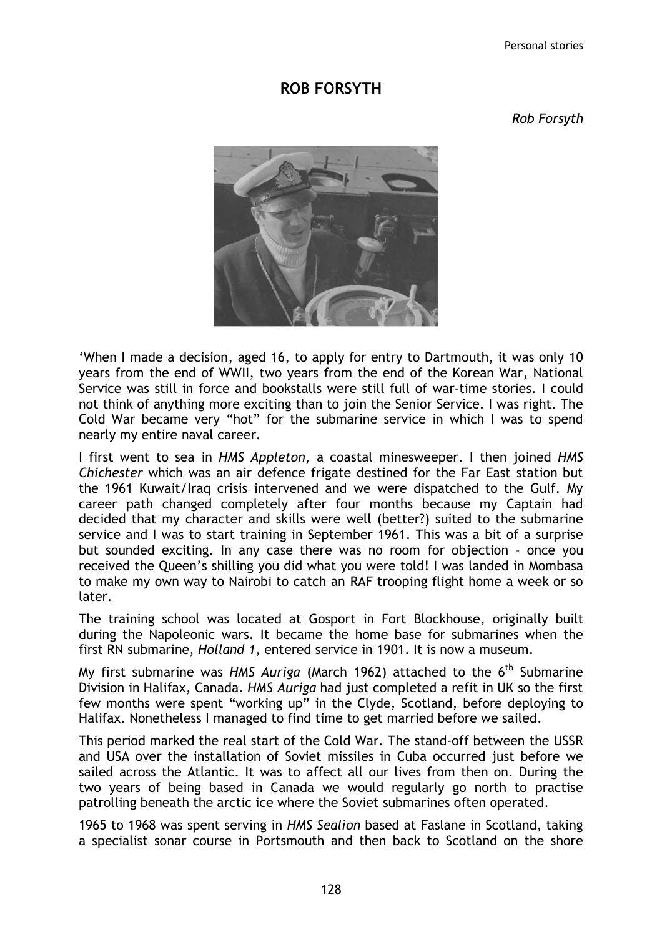Personal stories

## ROB FORSYTH

Rob Forsyth



'When I made a decision, aged 16, to apply for entry to Dartmouth, it was only 10 years from the end of WWII, two years from the end of the Korean War, National Service was still in force and bookstalls were still full of war-time stories. I could not think of anything more exciting than to join the Senior Service. I was right. The Cold War became very "hot" for the submarine service in which I was to spend nearly my entire naval career.

I first went to sea in HMS Appleton, a coastal minesweeper. I then joined HMS Chichester which was an air defence frigate destined for the Far East station but the 1961 Kuwait/Iraq crisis intervened and we were dispatched to the Gulf. My career path changed completely after four months because my Captain had decided that my character and skills were well (better?) suited to the submarine service and I was to start training in September 1961. This was a bit of a surprise but sounded exciting. In any case there was no room for objection – once you received the Queen's shilling you did what you were told! I was landed in Mombasa to make my own way to Nairobi to catch an RAF trooping flight home a week or so later.

The training school was located at Gosport in Fort Blockhouse, originally built during the Napoleonic wars. It became the home base for submarines when the first RN submarine, Holland 1, entered service in 1901. It is now a museum.

My first submarine was HMS Auriga (March 1962) attached to the  $6<sup>th</sup>$  Submarine Division in Halifax, Canada. HMS Auriga had just completed a refit in UK so the first few months were spent "working up" in the Clyde, Scotland, before deploying to Halifax. Nonetheless I managed to find time to get married before we sailed.

This period marked the real start of the Cold War. The stand-off between the USSR and USA over the installation of Soviet missiles in Cuba occurred just before we sailed across the Atlantic. It was to affect all our lives from then on. During the two years of being based in Canada we would regularly go north to practise patrolling beneath the arctic ice where the Soviet submarines often operated.

1965 to 1968 was spent serving in HMS Sealion based at Faslane in Scotland, taking a specialist sonar course in Portsmouth and then back to Scotland on the shore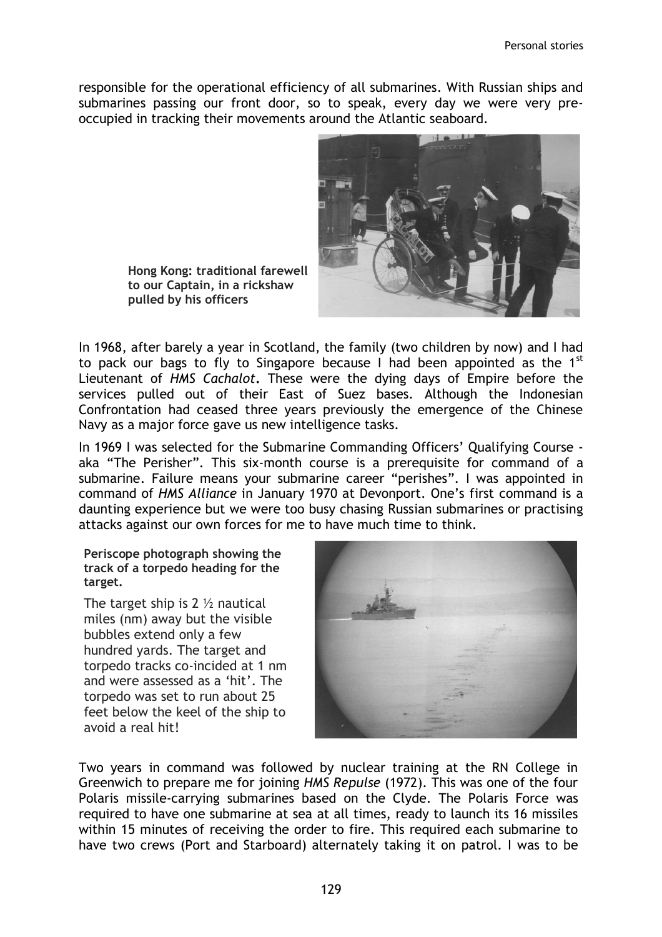responsible for the operational efficiency of all submarines. With Russian ships and submarines passing our front door, so to speak, every day we were very preoccupied in tracking their movements around the Atlantic seaboard.



Hong Kong: traditional farewell to our Captain, in a rickshaw pulled by his officers

In 1968, after barely a year in Scotland, the family (two children by now) and I had to pack our bags to fly to Singapore because I had been appointed as the  $1^{st}$ Lieutenant of HMS Cachalot. These were the dying days of Empire before the services pulled out of their East of Suez bases. Although the Indonesian Confrontation had ceased three years previously the emergence of the Chinese Navy as a major force gave us new intelligence tasks.

In 1969 I was selected for the Submarine Commanding Officers' Qualifying Course aka "The Perisher". This six-month course is a prerequisite for command of a submarine. Failure means your submarine career "perishes". I was appointed in command of HMS Alliance in January 1970 at Devonport. One's first command is a daunting experience but we were too busy chasing Russian submarines or practising attacks against our own forces for me to have much time to think.

Periscope photograph showing the track of a torpedo heading for the target.

The target ship is  $2 \frac{1}{2}$  nautical miles (nm) away but the visible bubbles extend only a few hundred yards. The target and torpedo tracks co-incided at 1 nm and were assessed as a 'hit'. The torpedo was set to run about 25 feet below the keel of the ship to avoid a real hit!



Two years in command was followed by nuclear training at the RN College in Greenwich to prepare me for joining HMS Repulse (1972). This was one of the four Polaris missile-carrying submarines based on the Clyde. The Polaris Force was required to have one submarine at sea at all times, ready to launch its 16 missiles within 15 minutes of receiving the order to fire. This required each submarine to have two crews (Port and Starboard) alternately taking it on patrol. I was to be